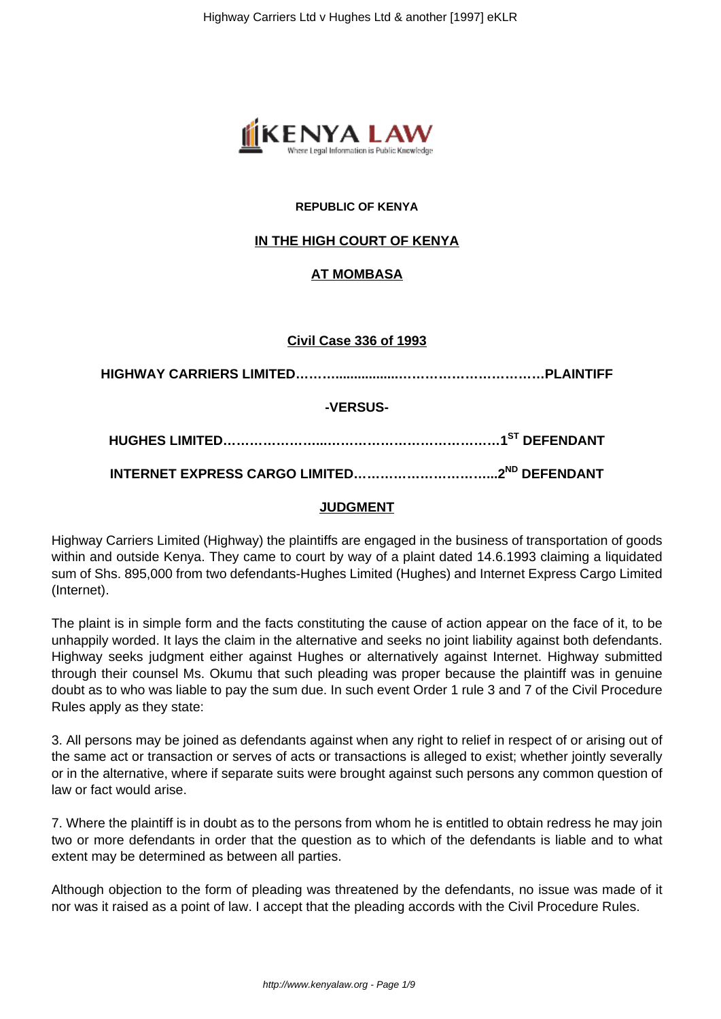

## **REPUBLIC OF KENYA**

## **IN THE HIGH COURT OF KENYA**

## **AT MOMBASA**

#### **Civil Case 336 of 1993**

| -VERSUS- |  |
|----------|--|
|          |  |
|          |  |

## **JUDGMENT**

Highway Carriers Limited (Highway) the plaintiffs are engaged in the business of transportation of goods within and outside Kenya. They came to court by way of a plaint dated 14.6.1993 claiming a liquidated sum of Shs. 895,000 from two defendants-Hughes Limited (Hughes) and Internet Express Cargo Limited (Internet).

The plaint is in simple form and the facts constituting the cause of action appear on the face of it, to be unhappily worded. It lays the claim in the alternative and seeks no joint liability against both defendants. Highway seeks judgment either against Hughes or alternatively against Internet. Highway submitted through their counsel Ms. Okumu that such pleading was proper because the plaintiff was in genuine doubt as to who was liable to pay the sum due. In such event Order 1 rule 3 and 7 of the Civil Procedure Rules apply as they state:

3. All persons may be joined as defendants against when any right to relief in respect of or arising out of the same act or transaction or serves of acts or transactions is alleged to exist; whether jointly severally or in the alternative, where if separate suits were brought against such persons any common question of law or fact would arise.

7. Where the plaintiff is in doubt as to the persons from whom he is entitled to obtain redress he may join two or more defendants in order that the question as to which of the defendants is liable and to what extent may be determined as between all parties.

Although objection to the form of pleading was threatened by the defendants, no issue was made of it nor was it raised as a point of law. I accept that the pleading accords with the Civil Procedure Rules.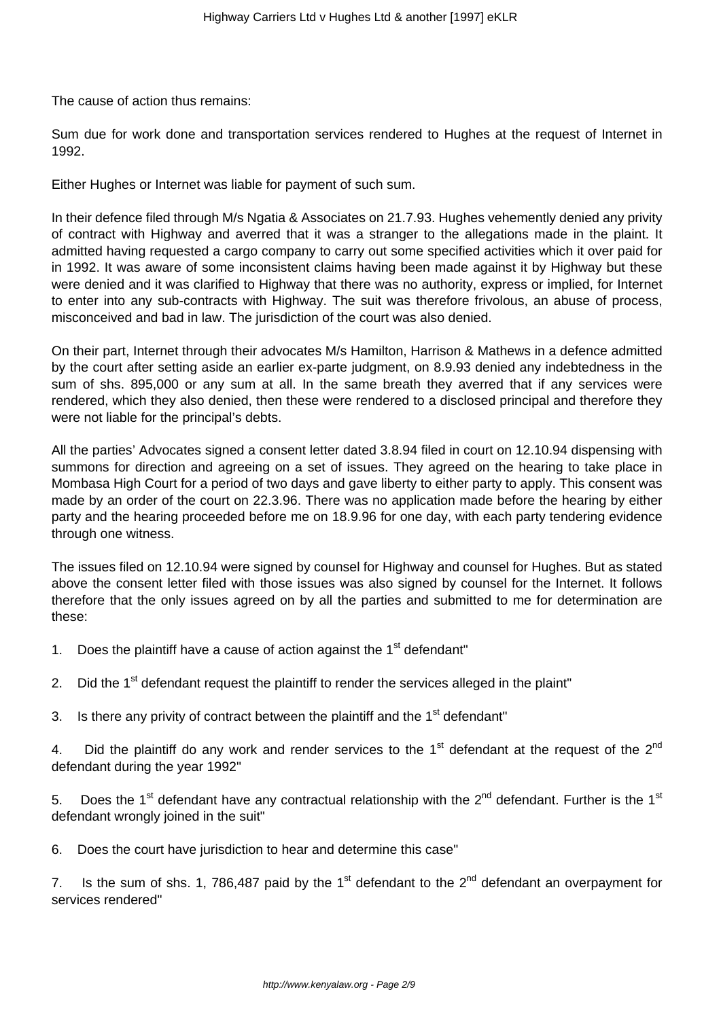The cause of action thus remains:

Sum due for work done and transportation services rendered to Hughes at the request of Internet in 1992.

Either Hughes or Internet was liable for payment of such sum.

In their defence filed through M/s Ngatia & Associates on 21.7.93. Hughes vehemently denied any privity of contract with Highway and averred that it was a stranger to the allegations made in the plaint. It admitted having requested a cargo company to carry out some specified activities which it over paid for in 1992. It was aware of some inconsistent claims having been made against it by Highway but these were denied and it was clarified to Highway that there was no authority, express or implied, for Internet to enter into any sub-contracts with Highway. The suit was therefore frivolous, an abuse of process, misconceived and bad in law. The jurisdiction of the court was also denied.

On their part, Internet through their advocates M/s Hamilton, Harrison & Mathews in a defence admitted by the court after setting aside an earlier ex-parte judgment, on 8.9.93 denied any indebtedness in the sum of shs. 895,000 or any sum at all. In the same breath they averred that if any services were rendered, which they also denied, then these were rendered to a disclosed principal and therefore they were not liable for the principal's debts.

All the parties' Advocates signed a consent letter dated 3.8.94 filed in court on 12.10.94 dispensing with summons for direction and agreeing on a set of issues. They agreed on the hearing to take place in Mombasa High Court for a period of two days and gave liberty to either party to apply. This consent was made by an order of the court on 22.3.96. There was no application made before the hearing by either party and the hearing proceeded before me on 18.9.96 for one day, with each party tendering evidence through one witness.

The issues filed on 12.10.94 were signed by counsel for Highway and counsel for Hughes. But as stated above the consent letter filed with those issues was also signed by counsel for the Internet. It follows therefore that the only issues agreed on by all the parties and submitted to me for determination are these:

- 1. Does the plaintiff have a cause of action against the  $1<sup>st</sup>$  defendant"
- 2. Did the  $1<sup>st</sup>$  defendant request the plaintiff to render the services alleged in the plaint"
- 3. Is there any privity of contract between the plaintiff and the  $1<sup>st</sup>$  defendant"

4. Did the plaintiff do any work and render services to the  $1<sup>st</sup>$  defendant at the request of the  $2<sup>nd</sup>$ defendant during the year 1992"

5. Does the 1<sup>st</sup> defendant have any contractual relationship with the  $2^{nd}$  defendant. Further is the 1<sup>st</sup> defendant wrongly joined in the suit"

6. Does the court have jurisdiction to hear and determine this case"

7. Is the sum of shs. 1, 786,487 paid by the 1<sup>st</sup> defendant to the 2<sup>nd</sup> defendant an overpayment for services rendered"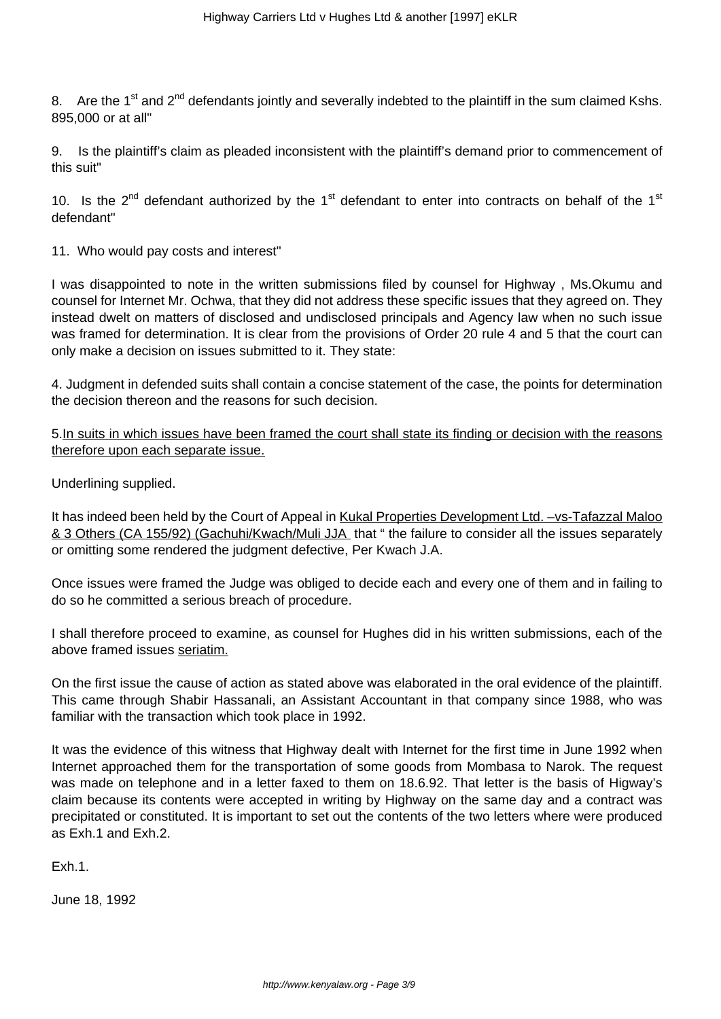8. Are the 1<sup>st</sup> and 2<sup>nd</sup> defendants jointly and severally indebted to the plaintiff in the sum claimed Kshs. 895,000 or at all"

9. Is the plaintiff's claim as pleaded inconsistent with the plaintiff's demand prior to commencement of this suit"

10. Is the  $2^{nd}$  defendant authorized by the 1<sup>st</sup> defendant to enter into contracts on behalf of the 1<sup>st</sup> defendant"

11. Who would pay costs and interest"

I was disappointed to note in the written submissions filed by counsel for Highway , Ms.Okumu and counsel for Internet Mr. Ochwa, that they did not address these specific issues that they agreed on. They instead dwelt on matters of disclosed and undisclosed principals and Agency law when no such issue was framed for determination. It is clear from the provisions of Order 20 rule 4 and 5 that the court can only make a decision on issues submitted to it. They state:

4. Judgment in defended suits shall contain a concise statement of the case, the points for determination the decision thereon and the reasons for such decision.

5.In suits in which issues have been framed the court shall state its finding or decision with the reasons therefore upon each separate issue.

Underlining supplied.

It has indeed been held by the Court of Appeal in Kukal Properties Development Ltd. -vs-Tafazzal Maloo & 3 Others (CA 155/92) (Gachuhi/Kwach/Muli JJA that " the failure to consider all the issues separately or omitting some rendered the judgment defective, Per Kwach J.A.

Once issues were framed the Judge was obliged to decide each and every one of them and in failing to do so he committed a serious breach of procedure.

I shall therefore proceed to examine, as counsel for Hughes did in his written submissions, each of the above framed issues seriatim.

On the first issue the cause of action as stated above was elaborated in the oral evidence of the plaintiff. This came through Shabir Hassanali, an Assistant Accountant in that company since 1988, who was familiar with the transaction which took place in 1992.

It was the evidence of this witness that Highway dealt with Internet for the first time in June 1992 when Internet approached them for the transportation of some goods from Mombasa to Narok. The request was made on telephone and in a letter faxed to them on 18.6.92. That letter is the basis of Higway's claim because its contents were accepted in writing by Highway on the same day and a contract was precipitated or constituted. It is important to set out the contents of the two letters where were produced as Exh.1 and Exh.2.

Exh.1.

June 18, 1992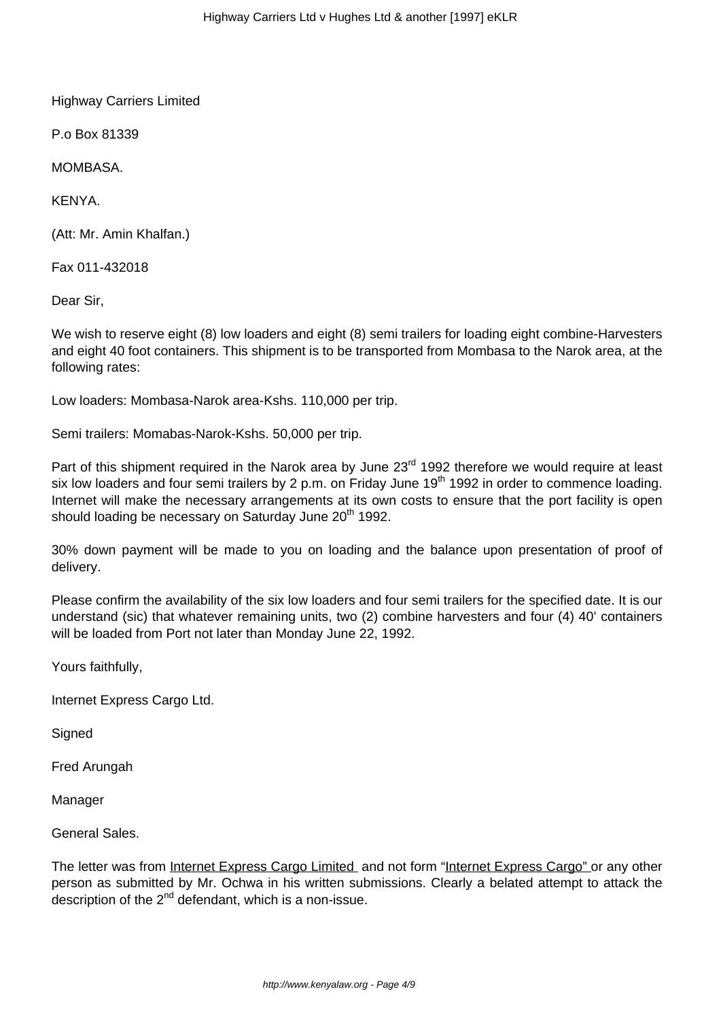Highway Carriers Limited

P.o Box 81339

**MOMBASA.** 

KENYA.

(Att: Mr. Amin Khalfan.)

Fax 011-432018

Dear Sir,

We wish to reserve eight (8) low loaders and eight (8) semi trailers for loading eight combine-Harvesters and eight 40 foot containers. This shipment is to be transported from Mombasa to the Narok area, at the following rates:

Low loaders: Mombasa-Narok area-Kshs. 110,000 per trip.

Semi trailers: Momabas-Narok-Kshs. 50,000 per trip.

Part of this shipment required in the Narok area by June 23<sup>rd</sup> 1992 therefore we would require at least six low loaders and four semi trailers by 2 p.m. on Friday June 19<sup>th</sup> 1992 in order to commence loading. Internet will make the necessary arrangements at its own costs to ensure that the port facility is open should loading be necessary on Saturday June 20<sup>th</sup> 1992.

30% down payment will be made to you on loading and the balance upon presentation of proof of delivery.

Please confirm the availability of the six low loaders and four semi trailers for the specified date. It is our understand (sic) that whatever remaining units, two (2) combine harvesters and four (4) 40' containers will be loaded from Port not later than Monday June 22, 1992.

Yours faithfully,

Internet Express Cargo Ltd.

**Signed** 

Fred Arungah

Manager

General Sales.

The letter was from Internet Express Cargo Limited and not form "Internet Express Cargo" or any other person as submitted by Mr. Ochwa in his written submissions. Clearly a belated attempt to attack the description of the  $2<sup>nd</sup>$  defendant, which is a non-issue.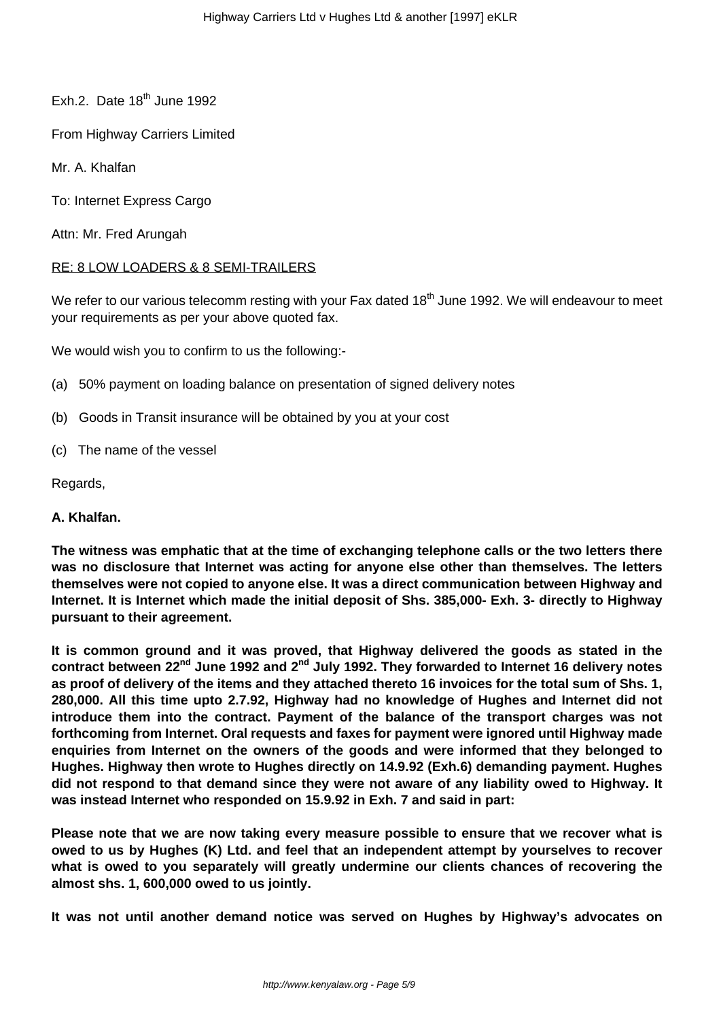- Exh.2. Date  $18<sup>th</sup>$  June 1992
- From Highway Carriers Limited
- Mr. A. Khalfan
- To: Internet Express Cargo
- Attn: Mr. Fred Arungah

#### RE: 8 LOW LOADERS & 8 SEMI-TRAILERS

We refer to our various telecomm resting with your Fax dated 18<sup>th</sup> June 1992. We will endeavour to meet your requirements as per your above quoted fax.

We would wish you to confirm to us the following:-

- (a) 50% payment on loading balance on presentation of signed delivery notes
- (b) Goods in Transit insurance will be obtained by you at your cost
- (c) The name of the vessel
- Regards,

#### **A. Khalfan.**

**The witness was emphatic that at the time of exchanging telephone calls or the two letters there was no disclosure that Internet was acting for anyone else other than themselves. The letters themselves were not copied to anyone else. It was a direct communication between Highway and Internet. It is Internet which made the initial deposit of Shs. 385,000- Exh. 3- directly to Highway pursuant to their agreement.**

**It is common ground and it was proved, that Highway delivered the goods as stated in the contract between 22nd June 1992 and 2nd July 1992. They forwarded to Internet 16 delivery notes as proof of delivery of the items and they attached thereto 16 invoices for the total sum of Shs. 1, 280,000. All this time upto 2.7.92, Highway had no knowledge of Hughes and Internet did not introduce them into the contract. Payment of the balance of the transport charges was not forthcoming from Internet. Oral requests and faxes for payment were ignored until Highway made enquiries from Internet on the owners of the goods and were informed that they belonged to Hughes. Highway then wrote to Hughes directly on 14.9.92 (Exh.6) demanding payment. Hughes did not respond to that demand since they were not aware of any liability owed to Highway. It was instead Internet who responded on 15.9.92 in Exh. 7 and said in part:**

**Please note that we are now taking every measure possible to ensure that we recover what is owed to us by Hughes (K) Ltd. and feel that an independent attempt by yourselves to recover what is owed to you separately will greatly undermine our clients chances of recovering the almost shs. 1, 600,000 owed to us jointly.**

**It was not until another demand notice was served on Hughes by Highway's advocates on**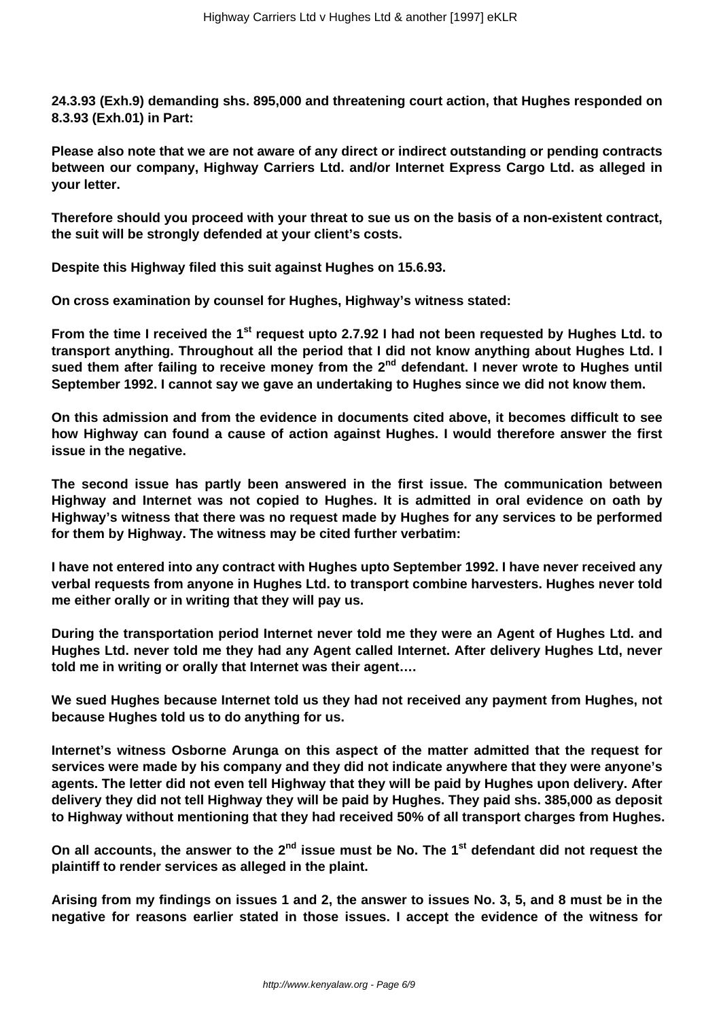**24.3.93 (Exh.9) demanding shs. 895,000 and threatening court action, that Hughes responded on 8.3.93 (Exh.01) in Part:**

**Please also note that we are not aware of any direct or indirect outstanding or pending contracts between our company, Highway Carriers Ltd. and/or Internet Express Cargo Ltd. as alleged in your letter.**

**Therefore should you proceed with your threat to sue us on the basis of a non-existent contract, the suit will be strongly defended at your client's costs.**

**Despite this Highway filed this suit against Hughes on 15.6.93.**

**On cross examination by counsel for Hughes, Highway's witness stated:**

**From the time I received the 1st request upto 2.7.92 I had not been requested by Hughes Ltd. to transport anything. Throughout all the period that I did not know anything about Hughes Ltd. I** sued them after failing to receive money from the 2<sup>nd</sup> defendant. I never wrote to Hughes until **September 1992. I cannot say we gave an undertaking to Hughes since we did not know them.**

**On this admission and from the evidence in documents cited above, it becomes difficult to see how Highway can found a cause of action against Hughes. I would therefore answer the first issue in the negative.**

**The second issue has partly been answered in the first issue. The communication between Highway and Internet was not copied to Hughes. It is admitted in oral evidence on oath by Highway's witness that there was no request made by Hughes for any services to be performed for them by Highway. The witness may be cited further verbatim:**

**I have not entered into any contract with Hughes upto September 1992. I have never received any verbal requests from anyone in Hughes Ltd. to transport combine harvesters. Hughes never told me either orally or in writing that they will pay us.** 

**During the transportation period Internet never told me they were an Agent of Hughes Ltd. and Hughes Ltd. never told me they had any Agent called Internet. After delivery Hughes Ltd, never told me in writing or orally that Internet was their agent….**

**We sued Hughes because Internet told us they had not received any payment from Hughes, not because Hughes told us to do anything for us.**

**Internet's witness Osborne Arunga on this aspect of the matter admitted that the request for services were made by his company and they did not indicate anywhere that they were anyone's agents. The letter did not even tell Highway that they will be paid by Hughes upon delivery. After delivery they did not tell Highway they will be paid by Hughes. They paid shs. 385,000 as deposit to Highway without mentioning that they had received 50% of all transport charges from Hughes.**

**On all accounts, the answer to the 2nd issue must be No. The 1st defendant did not request the plaintiff to render services as alleged in the plaint.**

**Arising from my findings on issues 1 and 2, the answer to issues No. 3, 5, and 8 must be in the negative for reasons earlier stated in those issues. I accept the evidence of the witness for**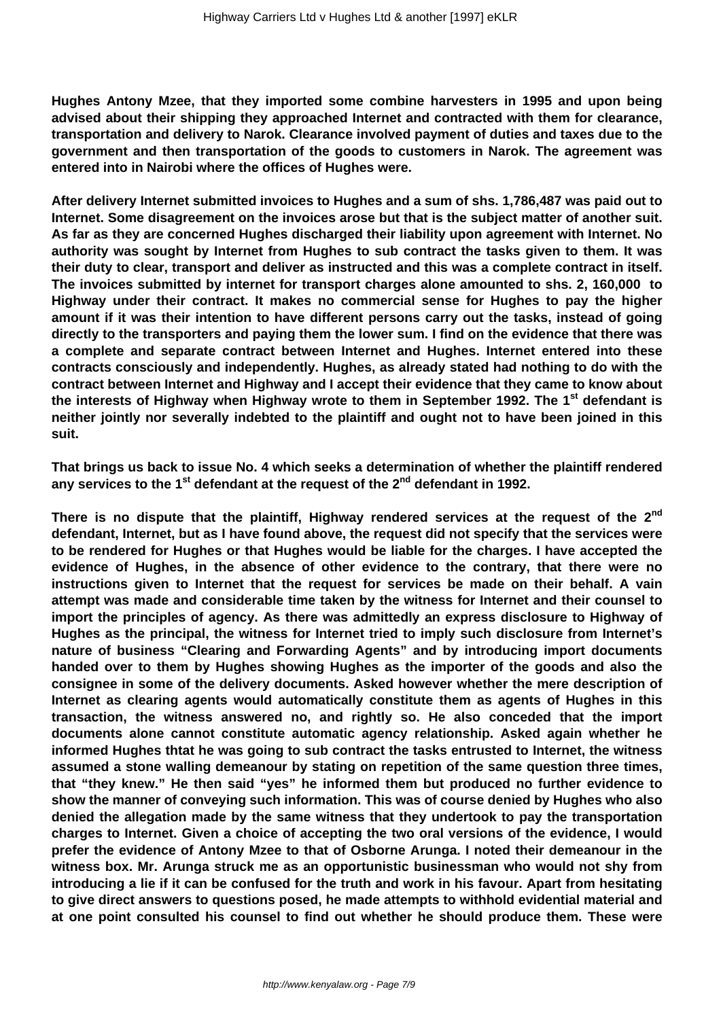**Hughes Antony Mzee, that they imported some combine harvesters in 1995 and upon being advised about their shipping they approached Internet and contracted with them for clearance, transportation and delivery to Narok. Clearance involved payment of duties and taxes due to the government and then transportation of the goods to customers in Narok. The agreement was entered into in Nairobi where the offices of Hughes were.**

**After delivery Internet submitted invoices to Hughes and a sum of shs. 1,786,487 was paid out to Internet. Some disagreement on the invoices arose but that is the subject matter of another suit. As far as they are concerned Hughes discharged their liability upon agreement with Internet. No authority was sought by Internet from Hughes to sub contract the tasks given to them. It was their duty to clear, transport and deliver as instructed and this was a complete contract in itself. The invoices submitted by internet for transport charges alone amounted to shs. 2, 160,000 to Highway under their contract. It makes no commercial sense for Hughes to pay the higher amount if it was their intention to have different persons carry out the tasks, instead of going directly to the transporters and paying them the lower sum. I find on the evidence that there was a complete and separate contract between Internet and Hughes. Internet entered into these contracts consciously and independently. Hughes, as already stated had nothing to do with the contract between Internet and Highway and I accept their evidence that they came to know about the interests of Highway when Highway wrote to them in September 1992. The 1st defendant is neither jointly nor severally indebted to the plaintiff and ought not to have been joined in this suit.**

**That brings us back to issue No. 4 which seeks a determination of whether the plaintiff rendered any services to the 1st defendant at the request of the 2nd defendant in 1992.**

**There is no dispute that the plaintiff, Highway rendered services at the request of the 2nd defendant, Internet, but as I have found above, the request did not specify that the services were to be rendered for Hughes or that Hughes would be liable for the charges. I have accepted the evidence of Hughes, in the absence of other evidence to the contrary, that there were no instructions given to Internet that the request for services be made on their behalf. A vain attempt was made and considerable time taken by the witness for Internet and their counsel to import the principles of agency. As there was admittedly an express disclosure to Highway of Hughes as the principal, the witness for Internet tried to imply such disclosure from Internet's nature of business "Clearing and Forwarding Agents" and by introducing import documents handed over to them by Hughes showing Hughes as the importer of the goods and also the consignee in some of the delivery documents. Asked however whether the mere description of Internet as clearing agents would automatically constitute them as agents of Hughes in this transaction, the witness answered no, and rightly so. He also conceded that the import documents alone cannot constitute automatic agency relationship. Asked again whether he informed Hughes thtat he was going to sub contract the tasks entrusted to Internet, the witness assumed a stone walling demeanour by stating on repetition of the same question three times, that "they knew." He then said "yes" he informed them but produced no further evidence to show the manner of conveying such information. This was of course denied by Hughes who also denied the allegation made by the same witness that they undertook to pay the transportation charges to Internet. Given a choice of accepting the two oral versions of the evidence, I would prefer the evidence of Antony Mzee to that of Osborne Arunga. I noted their demeanour in the witness box. Mr. Arunga struck me as an opportunistic businessman who would not shy from introducing a lie if it can be confused for the truth and work in his favour. Apart from hesitating to give direct answers to questions posed, he made attempts to withhold evidential material and at one point consulted his counsel to find out whether he should produce them. These were**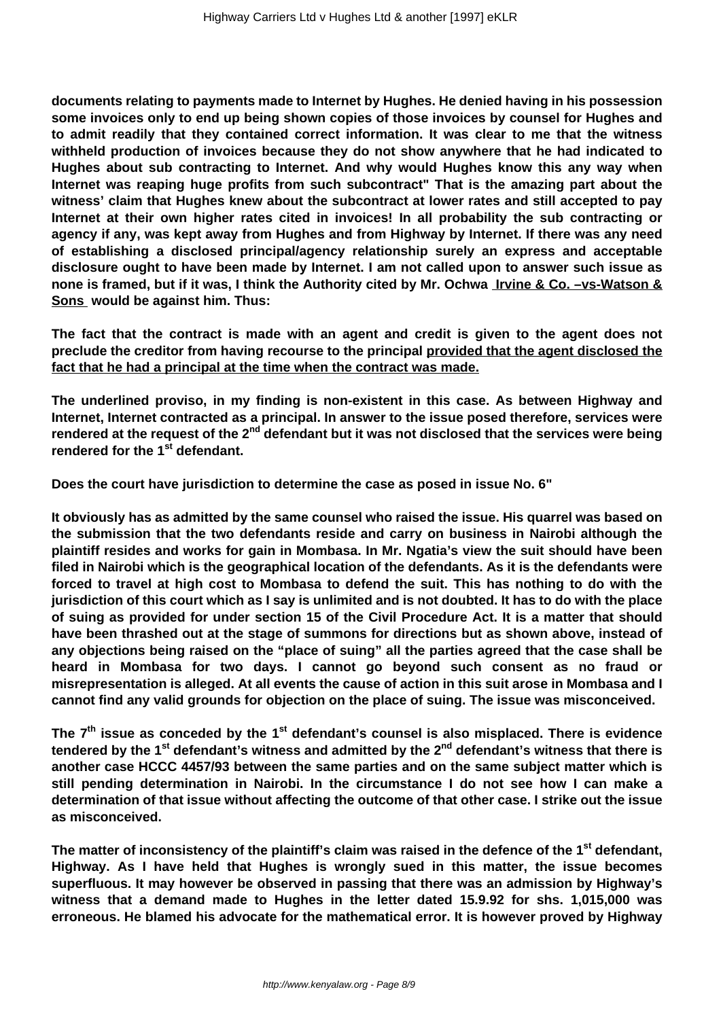**documents relating to payments made to Internet by Hughes. He denied having in his possession some invoices only to end up being shown copies of those invoices by counsel for Hughes and to admit readily that they contained correct information. It was clear to me that the witness withheld production of invoices because they do not show anywhere that he had indicated to Hughes about sub contracting to Internet. And why would Hughes know this any way when Internet was reaping huge profits from such subcontract" That is the amazing part about the witness' claim that Hughes knew about the subcontract at lower rates and still accepted to pay Internet at their own higher rates cited in invoices! In all probability the sub contracting or agency if any, was kept away from Hughes and from Highway by Internet. If there was any need of establishing a disclosed principal/agency relationship surely an express and acceptable disclosure ought to have been made by Internet. I am not called upon to answer such issue as none is framed, but if it was, I think the Authority cited by Mr. Ochwa Irvine & Co. –vs-Watson & Sons would be against him. Thus:** 

**The fact that the contract is made with an agent and credit is given to the agent does not preclude the creditor from having recourse to the principal provided that the agent disclosed the fact that he had a principal at the time when the contract was made.**

**The underlined proviso, in my finding is non-existent in this case. As between Highway and Internet, Internet contracted as a principal. In answer to the issue posed therefore, services were rendered at the request of the 2nd defendant but it was not disclosed that the services were being rendered for the 1st defendant.**

**Does the court have jurisdiction to determine the case as posed in issue No. 6"** 

**It obviously has as admitted by the same counsel who raised the issue. His quarrel was based on the submission that the two defendants reside and carry on business in Nairobi although the plaintiff resides and works for gain in Mombasa. In Mr. Ngatia's view the suit should have been filed in Nairobi which is the geographical location of the defendants. As it is the defendants were forced to travel at high cost to Mombasa to defend the suit. This has nothing to do with the jurisdiction of this court which as I say is unlimited and is not doubted. It has to do with the place of suing as provided for under section 15 of the Civil Procedure Act. It is a matter that should have been thrashed out at the stage of summons for directions but as shown above, instead of any objections being raised on the "place of suing" all the parties agreed that the case shall be heard in Mombasa for two days. I cannot go beyond such consent as no fraud or misrepresentation is alleged. At all events the cause of action in this suit arose in Mombasa and I cannot find any valid grounds for objection on the place of suing. The issue was misconceived.**

**The 7th issue as conceded by the 1st defendant's counsel is also misplaced. There is evidence tendered by the 1st defendant's witness and admitted by the 2nd defendant's witness that there is another case HCCC 4457/93 between the same parties and on the same subject matter which is still pending determination in Nairobi. In the circumstance I do not see how I can make a determination of that issue without affecting the outcome of that other case. I strike out the issue as misconceived.** 

**The matter of inconsistency of the plaintiff's claim was raised in the defence of the 1st defendant, Highway. As I have held that Hughes is wrongly sued in this matter, the issue becomes superfluous. It may however be observed in passing that there was an admission by Highway's witness that a demand made to Hughes in the letter dated 15.9.92 for shs. 1,015,000 was erroneous. He blamed his advocate for the mathematical error. It is however proved by Highway**